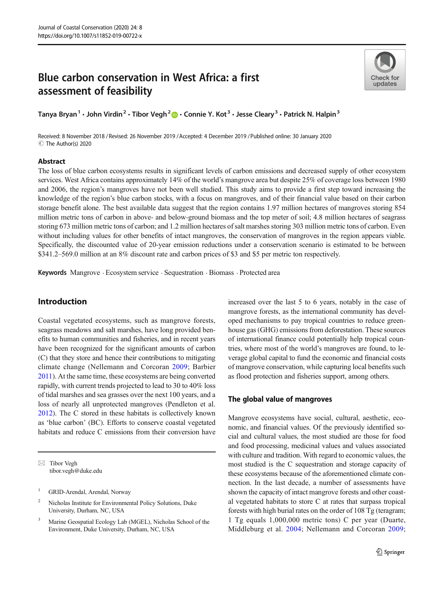# Blue carbon conservation in West Africa: a first assessment of feasibility



Tanya Bryan<sup>1</sup> • John Virdin<sup>2</sup> • Tibor Vegh<sup>2</sup>  $\cdot$  Connie Y. Kot<sup>3</sup> • Jesse Cleary<sup>3</sup> • Patrick N. Halpin<sup>3</sup>

Received: 8 November 2018 / Revised: 26 November 2019 /Accepted: 4 December 2019 /Published online: 30 January 2020 C The Author(s) 2020

# Abstract

The loss of blue carbon ecosystems results in significant levels of carbon emissions and decreased supply of other ecosystem services. West Africa contains approximately 14% of the world's mangrove area but despite 25% of coverage loss between 1980 and 2006, the region's mangroves have not been well studied. This study aims to provide a first step toward increasing the knowledge of the region's blue carbon stocks, with a focus on mangroves, and of their financial value based on their carbon storage benefit alone. The best available data suggest that the region contains 1.97 million hectares of mangroves storing 854 million metric tons of carbon in above- and below-ground biomass and the top meter of soil; 4.8 million hectares of seagrass storing 673 million metric tons of carbon; and 1.2 million hectares of salt marshes storing 303 million metric tons of carbon. Even without including values for other benefits of intact mangroves, the conservation of mangroves in the region appears viable. Specifically, the discounted value of 20-year emission reductions under a conservation scenario is estimated to be between \$341.2–569.0 million at an 8% discount rate and carbon prices of \$3 and \$5 per metric ton respectively.

Keywords Mangrove . Ecosystem service . Sequestration . Biomass . Protected area

# Introduction

Coastal vegetated ecosystems, such as mangrove forests, seagrass meadows and salt marshes, have long provided benefits to human communities and fisheries, and in recent years have been recognized for the significant amounts of carbon (C) that they store and hence their contributions to mitigating climate change (Nellemann and Corcoran [2009;](#page-13-0) Barbier [2011](#page-12-0)). At the same time, these ecosystems are being converted rapidly, with current trends projected to lead to 30 to 40% loss of tidal marshes and sea grasses over the next 100 years, and a loss of nearly all unprotected mangroves (Pendleton et al. [2012\)](#page-13-0). The C stored in these habitats is collectively known as 'blue carbon' (BC). Efforts to conserve coastal vegetated habitats and reduce C emissions from their conversion have

 $\boxtimes$  Tibor Vegh [tibor.vegh@duke.edu](mailto:tibor.vegh@duke.edu)

- <sup>2</sup> Nicholas Institute for Environmental Policy Solutions, Duke University, Durham, NC, USA
- <sup>3</sup> Marine Geospatial Ecology Lab (MGEL), Nicholas School of the Environment, Duke University, Durham, NC, USA

increased over the last 5 to 6 years, notably in the case of mangrove forests, as the international community has developed mechanisms to pay tropical countries to reduce greenhouse gas (GHG) emissions from deforestation. These sources of international finance could potentially help tropical countries, where most of the world's mangroves are found, to leverage global capital to fund the economic and financial costs of mangrove conservation, while capturing local benefits such as flood protection and fisheries support, among others.

# The global value of mangroves

Mangrove ecosystems have social, cultural, aesthetic, economic, and financial values. Of the previously identified social and cultural values, the most studied are those for food and food processing, medicinal values and values associated with culture and tradition. With regard to economic values, the most studied is the C sequestration and storage capacity of these ecosystems because of the aforementioned climate connection. In the last decade, a number of assessments have shown the capacity of intact mangrove forests and other coastal vegetated habitats to store C at rates that surpass tropical forests with high burial rates on the order of 108 Tg (teragram; 1 Tg equals 1,000,000 metric tons) C per year (Duarte, Middleburg et al. [2004](#page-12-0); Nellemann and Corcoran [2009;](#page-13-0)

<sup>&</sup>lt;sup>1</sup> GRID-Arendal, Arendal, Norway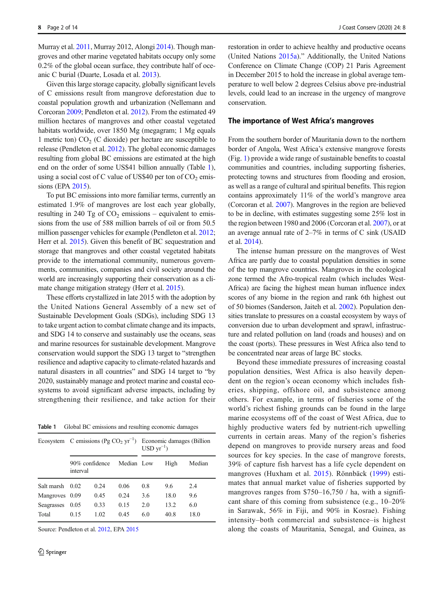Murray et al. [2011](#page-12-0), Murray 2012, Alongi [2014](#page-11-0)). Though mangroves and other marine vegetated habitats occupy only some 0.2% of the global ocean surface, they contribute half of oceanic C burial (Duarte, Losada et al. [2013](#page-12-0)).

Given this large storage capacity, globally significant levels of C emissions result from mangrove deforestation due to coastal population growth and urbanization (Nellemann and Corcoran [2009;](#page-13-0) Pendleton et al. [2012](#page-13-0)). From the estimated 49 million hectares of mangroves and other coastal vegetated habitats worldwide, over 1850 Mg (megagram; 1 Mg equals 1 metric ton)  $CO<sub>2</sub>$  (C dioxide) per hectare are susceptible to release (Pendleton et al. [2012\)](#page-13-0). The global economic damages resulting from global BC emissions are estimated at the high end on the order of some US\$41 billion annually (Table 1), using a social cost of C value of US\$40 per ton of  $CO<sub>2</sub>$  emissions (EPA [2015\)](#page-12-0).

To put BC emissions into more familiar terms, currently an estimated 1.9% of mangroves are lost each year globally, resulting in 240 Tg of  $CO<sub>2</sub>$  emissions – equivalent to emissions from the use of 588 million barrels of oil or from 50.5 million passenger vehicles for example (Pendleton et al. [2012](#page-13-0); Herr et al. [2015\)](#page-12-0). Given this benefit of BC sequestration and storage that mangroves and other coastal vegetated habitats provide to the international community, numerous governments, communities, companies and civil society around the world are increasingly supporting their conservation as a climate change mitigation strategy (Herr et al. [2015](#page-12-0)).

These efforts crystallized in late 2015 with the adoption by the United Nations General Assembly of a new set of Sustainable Development Goals (SDGs), including SDG 13 to take urgent action to combat climate change and its impacts, and SDG 14 to conserve and sustainably use the oceans, seas and marine resources for sustainable development. Mangrove conservation would support the SDG 13 target to "strengthen resilience and adaptive capacity to climate-related hazards and natural disasters in all countries" and SDG 14 target to "by 2020, sustainably manage and protect marine and coastal ecosystems to avoid significant adverse impacts, including by strengthening their resilience, and take action for their

Table 1 Global BC emissions and resulting economic damages

| Ecosystem C emissions (Pg CO <sub>2</sub> yr <sup>-1</sup> ) |                            |      |            | Economic damages (Billion<br>$USD \, \text{yr}^{-1})$ |      |        |  |
|--------------------------------------------------------------|----------------------------|------|------------|-------------------------------------------------------|------|--------|--|
|                                                              | 90% confidence<br>interval |      | Median Low |                                                       | High | Median |  |
| Salt marsh                                                   | 0.02                       | 0.24 | 0.06       | 0.8                                                   | 9.6  | 2.4    |  |
| Mangroves 0.09                                               |                            | 0.45 | 0.24       | 3.6                                                   | 18.0 | 9.6    |  |
| Seagrasses                                                   | 0.05                       | 0.33 | 0.15       | 2.0                                                   | 13.2 | 6.0    |  |
| Total                                                        | 0.15                       | 1.02 | 0.45       | 6.0                                                   | 40.8 | 18.0   |  |

Source: Pendleton et al. [2012,](#page-13-0) EPA [2015](#page-12-0)

restoration in order to achieve healthy and productive oceans (United Nations [2015a](#page-13-0))." Additionally, the United Nations Conference on Climate Change (COP) 21 Paris Agreement in December 2015 to hold the increase in global average temperature to well below 2 degrees Celsius above pre-industrial levels, could lead to an increase in the urgency of mangrove conservation.

# The importance of West Africa's mangroves

From the southern border of Mauritania down to the northern border of Angola, West Africa's extensive mangrove forests (Fig. [1\)](#page-2-0) provide a wide range of sustainable benefits to coastal communities and countries, including supporting fisheries, protecting towns and structures from flooding and erosion, as well as a range of cultural and spiritual benefits. This region contains approximately 11% of the world's mangrove area (Corcoran et al. [2007\)](#page-12-0). Mangroves in the region are believed to be in decline, with estimates suggesting some 25% lost in the region between 1980 and 2006 (Corcoran et al. [2007\)](#page-12-0), or at an average annual rate of 2–7% in terms of C sink (USAID et al. [2014](#page-13-0)).

The intense human pressure on the mangroves of West Africa are partly due to coastal population densities in some of the top mangrove countries. Mangroves in the ecological zone termed the Afro-tropical realm (which includes West-Africa) are facing the highest mean human influence index scores of any biome in the region and rank 6th highest out of 50 biomes (Sanderson, Jaiteh et al. [2002](#page-13-0)). Population densities translate to pressures on a coastal ecosystem by ways of conversion due to urban development and sprawl, infrastructure and related pollution on land (roads and houses) and on the coast (ports). These pressures in West Africa also tend to be concentrated near areas of large BC stocks.

Beyond these immediate pressures of increasing coastal population densities, West Africa is also heavily dependent on the region's ocean economy which includes fisheries, shipping, offshore oil, and subsistence among others. For example, in terms of fisheries some of the world's richest fishing grounds can be found in the large marine ecosystems off of the coast of West Africa, due to highly productive waters fed by nutrient-rich upwelling currents in certain areas. Many of the region's fisheries depend on mangroves to provide nursery areas and food sources for key species. In the case of mangrove forests, 39% of capture fish harvest has a life cycle dependent on mangroves (Huxham et al. [2015](#page-12-0)). Rönnbäck [\(1999\)](#page-13-0) estimates that annual market value of fisheries supported by mangroves ranges from  $$750-16,750$  / ha, with a significant share of this coming from subsistence (e.g., 10–20% in Sarawak, 56% in Fiji, and 90% in Kosrae). Fishing intensity–both commercial and subsistence–is highest along the coasts of Mauritania, Senegal, and Guinea, as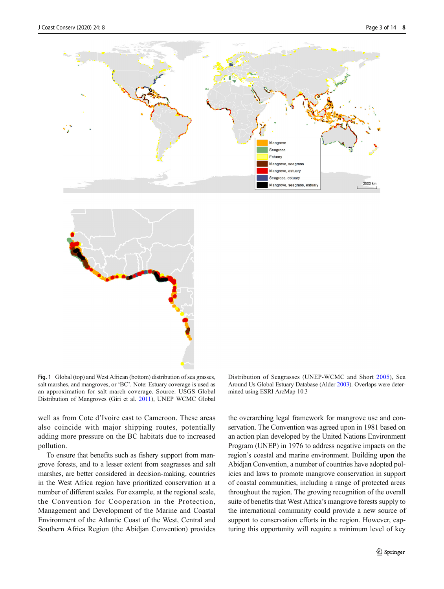<span id="page-2-0"></span>



Fig. 1 Global (top) and West African (bottom) distribution of sea grasses, salt marshes, and mangroves, or 'BC'. Note: Estuary coverage is used as an approximation for salt march coverage. Source: USGS Global Distribution of Mangroves (Giri et al. [2011\)](#page-12-0), UNEP WCMC Global

well as from Cote d'Ivoire east to Cameroon. These areas also coincide with major shipping routes, potentially adding more pressure on the BC habitats due to increased pollution.

To ensure that benefits such as fishery support from mangrove forests, and to a lesser extent from seagrasses and salt marshes, are better considered in decision-making, countries in the West Africa region have prioritized conservation at a number of different scales. For example, at the regional scale, the Convention for Cooperation in the Protection, Management and Development of the Marine and Coastal Environment of the Atlantic Coast of the West, Central and Southern Africa Region (the Abidjan Convention) provides

Distribution of Seagrasses (UNEP-WCMC and Short [2005\)](#page-13-0), Sea Around Us Global Estuary Database (Alder [2003\)](#page-11-0). Overlaps were determined using ESRI ArcMap 10.3

the overarching legal framework for mangrove use and conservation. The Convention was agreed upon in 1981 based on an action plan developed by the United Nations Environment Program (UNEP) in 1976 to address negative impacts on the region's coastal and marine environment. Building upon the Abidjan Convention, a number of countries have adopted policies and laws to promote mangrove conservation in support of coastal communities, including a range of protected areas throughout the region. The growing recognition of the overall suite of benefits that West Africa's mangrove forests supply to the international community could provide a new source of support to conservation efforts in the region. However, capturing this opportunity will require a minimum level of key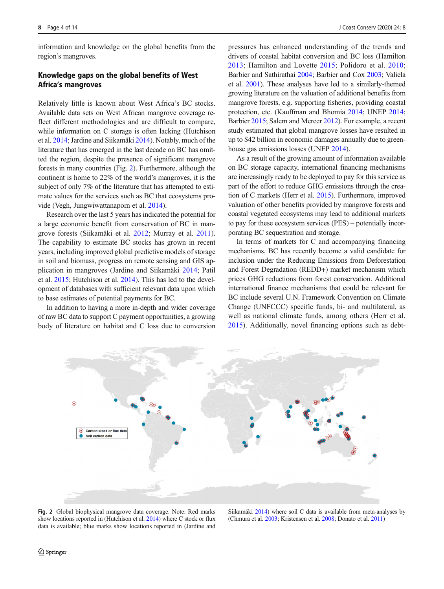information and knowledge on the global benefits from the region's mangroves.

# Knowledge gaps on the global benefits of West Africa's mangroves

Relatively little is known about West Africa's BC stocks. Available data sets on West African mangrove coverage reflect different methodologies and are difficult to compare, while information on C storage is often lacking (Hutchison et al. [2014;](#page-12-0) Jardine and Siikamäki [2014](#page-12-0)). Notably, much of the literature that has emerged in the last decade on BC has omitted the region, despite the presence of significant mangrove forests in many countries (Fig. 2). Furthermore, although the continent is home to 22% of the world's mangroves, it is the subject of only 7% of the literature that has attempted to estimate values for the services such as BC that ecosystems provide (Vegh, Jungwiwattanaporn et al. [2014](#page-13-0)).

Research over the last 5 years has indicated the potential for a large economic benefit from conservation of BC in mangrove forests (Siikamäki et al. [2012](#page-13-0); Murray et al. [2011](#page-12-0)). The capability to estimate BC stocks has grown in recent years, including improved global predictive models of storage in soil and biomass, progress on remote sensing and GIS application in mangroves (Jardine and Siikamäki [2014;](#page-12-0) Patil et al. [2015](#page-13-0); Hutchison et al. [2014\)](#page-12-0). This has led to the development of databases with sufficient relevant data upon which to base estimates of potential payments for BC.

In addition to having a more in-depth and wider coverage of raw BC data to support C payment opportunities, a growing body of literature on habitat and C loss due to conversion pressures has enhanced understanding of the trends and drivers of coastal habitat conversion and BC loss (Hamilton [2013;](#page-12-0) Hamilton and Lovette [2015;](#page-12-0) Polidoro et al. [2010;](#page-13-0) Barbier and Sathirathai [2004;](#page-12-0) Barbier and Cox [2003;](#page-12-0) Valiela et al. [2001](#page-13-0)). These analyses have led to a similarly-themed growing literature on the valuation of additional benefits from mangrove forests, e.g. supporting fisheries, providing coastal protection, etc. (Kauffman and Bhomia [2014](#page-12-0); UNEP [2014;](#page-13-0) Barbier [2015;](#page-12-0) Salem and Mercer [2012\)](#page-13-0). For example, a recent study estimated that global mangrove losses have resulted in up to \$42 billion in economic damages annually due to greenhouse gas emissions losses (UNEP [2014](#page-13-0)).

As a result of the growing amount of information available on BC storage capacity, international financing mechanisms are increasingly ready to be deployed to pay for this service as part of the effort to reduce GHG emissions through the creation of C markets (Herr et al. [2015\)](#page-12-0). Furthermore, improved valuation of other benefits provided by mangrove forests and coastal vegetated ecosystems may lead to additional markets to pay for these ecosystem services (PES) – potentially incorporating BC sequestration and storage.

In terms of markets for C and accompanying financing mechanisms, BC has recently become a valid candidate for inclusion under the Reducing Emissions from Deforestation and Forest Degradation (REDD+) market mechanism which prices GHG reductions from forest conservation. Additional international finance mechanisms that could be relevant for BC include several U.N. Framework Convention on Climate Change (UNFCCC) specific funds, bi- and multilateral, as well as national climate funds, among others (Herr et al. [2015](#page-12-0)). Additionally, novel financing options such as debt-



Fig. 2 Global biophysical mangrove data coverage. Note: Red marks show locations reported in (Hutchison et al. [2014\)](#page-12-0) where C stock or flux data is available; blue marks show locations reported in (Jardine and

Siikamäki [2014\)](#page-12-0) where soil C data is available from meta-analyses by (Chmura et al. [2003](#page-12-0); Kristensen et al. [2008;](#page-12-0) Donato et al. [2011](#page-12-0))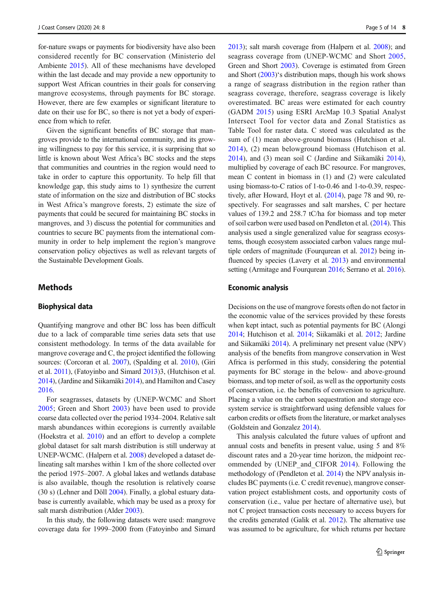for-nature swaps or payments for biodiversity have also been considered recently for BC conservation (Ministerio del Ambiente [2015](#page-12-0)). All of these mechanisms have developed within the last decade and may provide a new opportunity to support West African countries in their goals for conserving mangrove ecosystems, through payments for BC storage. However, there are few examples or significant literature to date on their use for BC, so there is not yet a body of experience from which to refer.

Given the significant benefits of BC storage that mangroves provide to the international community, and its growing willingness to pay for this service, it is surprising that so little is known about West Africa's BC stocks and the steps that communities and countries in the region would need to take in order to capture this opportunity. To help fill that knowledge gap, this study aims to 1) synthesize the current state of information on the size and distribution of BC stocks in West Africa's mangrove forests, 2) estimate the size of payments that could be secured for maintaining BC stocks in mangroves, and 3) discuss the potential for communities and countries to secure BC payments from the international community in order to help implement the region's mangrove conservation policy objectives as well as relevant targets of the Sustainable Development Goals.

# **Methods**

### Biophysical data

Quantifying mangrove and other BC loss has been difficult due to a lack of comparable time series data sets that use consistent methodology. In terms of the data available for mangrove coverage and C, the project identified the following sources: (Corcoran et al. [2007](#page-12-0)), (Spalding et al. [2010\)](#page-13-0), (Giri et al. [2011\)](#page-12-0), (Fatoyinbo and Simard [2013\)](#page-12-0)3, (Hutchison et al. [2014\)](#page-12-0), (Jardine and Siikamäki [2014](#page-12-0)), and Hamilton and Casey [2016.](#page-12-0)

For seagrasses, datasets by (UNEP-WCMC and Short [2005](#page-13-0); Green and Short [2003](#page-12-0)) have been used to provide coarse data collected over the period 1934–2004. Relative salt marsh abundances within ecoregions is currently available (Hoekstra et al. [2010\)](#page-12-0) and an effort to develop a complete global dataset for salt marsh distribution is still underway at UNEP-WCMC. (Halpern et al. [2008\)](#page-12-0) developed a dataset delineating salt marshes within 1 km of the shore collected over the period 1975–2007. A global lakes and wetlands database is also available, though the resolution is relatively coarse (30 s) (Lehner and Döll [2004\)](#page-12-0). Finally, a global estuary database is currently available, which may be used as a proxy for salt marsh distribution (Alder [2003\)](#page-11-0).

In this study, the following datasets were used: mangrove coverage data for 1999–2000 from (Fatoyinbo and Simard [2013\)](#page-12-0); salt marsh coverage from (Halpern et al. [2008\)](#page-12-0); and seagrass coverage from (UNEP-WCMC and Short [2005,](#page-13-0) Green and Short [2003](#page-12-0)). Coverage is estimated from Green and Short [\(2003\)](#page-12-0)'s distribution maps, though his work shows a range of seagrass distribution in the region rather than seagrass coverage, therefore, seagrass coverage is likely overestimated. BC areas were estimated for each country (GADM [2015](#page-12-0)) using ESRI ArcMap 10.3 Spatial Analyst Intersect Tool for vector data and Zonal Statistics as Table Tool for raster data. C stored was calculated as the sum of (1) mean above-ground biomass (Hutchison et al. [2014\)](#page-12-0), (2) mean belowground biomass (Hutchison et al. [2014\)](#page-12-0), and (3) mean soil C (Jardine and Siikamäki [2014\)](#page-12-0), multiplied by coverage of each BC resource. For mangroves, mean C content in biomass in (1) and (2) were calculated using biomass-to-C ratios of 1-to-0.46 and 1-to-0.39, respectively, after Howard, Hoyt et al. [\(2014](#page-12-0)), page 78 and 90, respectively. For seagrasses and salt marshes, C per hectare values of 139.2 and 258.7 tC/ha for biomass and top meter of soil carbon were used based on Pendleton et al. [\(2014\)](#page-13-0). This analysis used a single generalized value for seagrass ecosystems, though ecosystem associated carbon values range multiple orders of magnitude (Fourqurean et al. [2012](#page-12-0)) being influenced by species (Lavery et al. [2013](#page-12-0)) and environmental setting (Armitage and Fourqurean [2016;](#page-12-0) Serrano et al. [2016\)](#page-13-0).

#### Economic analysis

Decisions on the use of mangrove forests often do not factor in the economic value of the services provided by these forests when kept intact, such as potential payments for BC (Alongi [2014;](#page-11-0) Hutchison et al. [2014](#page-12-0); Siikamäki et al. [2012](#page-13-0); Jardine and Siikamäki [2014](#page-12-0)). A preliminary net present value (NPV) analysis of the benefits from mangrove conservation in West Africa is performed in this study, considering the potential payments for BC storage in the below- and above-ground biomass, and top meter of soil, as well as the opportunity costs of conservation, i.e. the benefits of conversion to agriculture. Placing a value on the carbon sequestration and storage ecosystem service is straightforward using defensible values for carbon credits or offsets from the literature, or market analyses (Goldstein and Gonzalez [2014](#page-12-0)).

This analysis calculated the future values of upfront and annual costs and benefits in present value, using 5 and 8% discount rates and a 20-year time horizon, the midpoint recommended by (UNEP\_and\_CIFOR [2014\)](#page-13-0). Following the methodology of (Pendleton et al. [2014\)](#page-13-0) the NPV analysis includes BC payments (i.e. C credit revenue), mangrove conservation project establishment costs, and opportunity costs of conservation (i.e., value per hectare of alternative use), but not C project transaction costs necessary to access buyers for the credits generated (Galik et al. [2012\)](#page-12-0). The alternative use was assumed to be agriculture, for which returns per hectare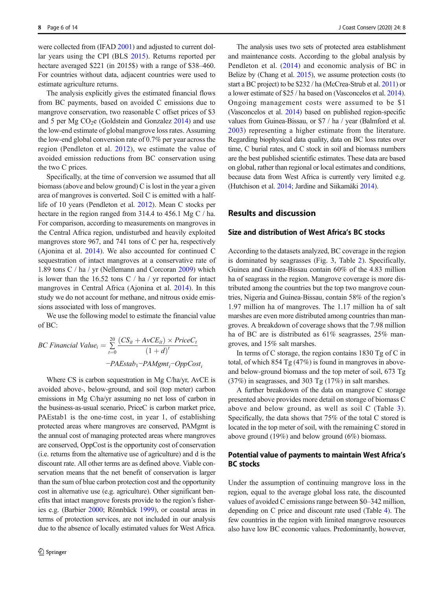were collected from (IFAD [2001](#page-12-0)) and adjusted to current dollar years using the CPI (BLS [2015\)](#page-12-0). Returns reported per hectare averaged \$221 (in 2015\$) with a range of \$38–460. For countries without data, adjacent countries were used to estimate agriculture returns.

The analysis explicitly gives the estimated financial flows from BC payments, based on avoided C emissions due to mangrove conservation, two reasonable C offset prices of \$3 and 5 per Mg  $CO<sub>2</sub>e$  (Goldstein and Gonzalez [2014\)](#page-12-0) and use the low-end estimate of global mangrove loss rates. Assuming the low-end global conversion rate of 0.7% per year across the region (Pendleton et al. [2012\)](#page-13-0), we estimate the value of avoided emission reductions from BC conservation using the two C prices.

Specifically, at the time of conversion we assumed that all biomass (above and below ground) C is lost in the year a given area of mangroves is converted. Soil C is emitted with a halflife of 10 years (Pendleton et al. [2012](#page-13-0)). Mean C stocks per hectare in the region ranged from 314.4 to 456.1 Mg C / ha. For comparison, according to measurements on mangroves in the Central Africa region, undisturbed and heavily exploited mangroves store 967, and 741 tons of C per ha, respectively (Ajonina et al. [2014](#page-11-0)). We also accounted for continued C sequestration of intact mangroves at a conservative rate of 1.89 tons C / ha / yr (Nellemann and Corcoran [2009](#page-13-0)) which is lower than the 16.52 tons C / ha / yr reported for intact mangroves in Central Africa (Ajonina et al. [2014\)](#page-11-0). In this study we do not account for methane, and nitrous oxide emissions associated with loss of mangroves.

We use the following model to estimate the financial value of BC:

BC Financial Value<sub>i</sub> = 
$$
\sum_{t=0}^{20} \frac{(CS_{it} + AvCE_{it}) \times PriceC_t}{(1+d)^t}
$$

$$
-PAEstab_1-PAMgmt_i-OppCost_i
$$

Where CS is carbon sequestration in Mg C/ha/yr, AvCE is avoided above-, below-ground, and soil (top meter) carbon emissions in Mg C/ha/yr assuming no net loss of carbon in the business-as-usual scenario, PriceC is carbon market price, PAEstab1 is the one-time cost, in year 1, of establishing protected areas where mangroves are conserved, PAMgmt is the annual cost of managing protected areas where mangroves are conserved, OppCost is the opportunity cost of conservation (i.e. returns from the alternative use of agriculture) and d is the discount rate. All other terms are as defined above. Viable conservation means that the net benefit of conservation is larger than the sum of blue carbon protection cost and the opportunity cost in alternative use (e.g. agriculture). Other significant benefits that intact mangrove forests provide to the region's fisheries e.g. (Barbier [2000;](#page-12-0) Rönnbäck [1999\)](#page-13-0), or coastal areas in terms of protection services, are not included in our analysis due to the absence of locally estimated values for West Africa.

The analysis uses two sets of protected area establishment and maintenance costs. According to the global analysis by Pendleton et al. ([2014\)](#page-13-0) and economic analysis of BC in Belize by (Chang et al. [2015\)](#page-12-0), we assume protection costs (to start a BC project) to be \$232 / ha (McCrea-Strub et al. [2011](#page-12-0)) or a lower estimate of \$25 / ha based on (Vasconcelos et al. [2014\)](#page-13-0). Ongoing management costs were assumed to be \$1 (Vasconcelos et al. [2014](#page-13-0)) based on published region-specific values from Guinea-Bissau, or \$7 / ha / year (Balmford et al. [2003\)](#page-12-0) representing a higher estimate from the literature. Regarding biophysical data quality, data on BC loss rates over time, C burial rates, and C stock in soil and biomass numbers are the best published scientific estimates. These data are based on global, rather than regional or local estimates and conditions, because data from West Africa is currently very limited e.g. (Hutchison et al. [2014](#page-12-0); Jardine and Siikamäki [2014\)](#page-12-0).

# Results and discussion

# Size and distribution of West Africa's BC stocks

According to the datasets analyzed, BC coverage in the region is dominated by seagrasses (Fig. 3, Table [2\)](#page-7-0). Specifically, Guinea and Guinea-Bissau contain 60% of the 4.83 million ha of seagrass in the region. Mangrove coverage is more distributed among the countries but the top two mangrove countries, Nigeria and Guinea-Bissau, contain 58% of the region's 1.97 million ha of mangroves. The 1.17 million ha of salt marshes are even more distributed among countries than mangroves. A breakdown of coverage shows that the 7.98 million ha of BC are is distributed as 61% seagrasses, 25% mangroves, and 15% salt marshes.

In terms of C storage, the region contains 1830 Tg of C in total, of which 854 Tg (47%) is found in mangroves in aboveand below-ground biomass and the top meter of soil, 673 Tg (37%) in seagrasses, and 303 Tg (17%) in salt marshes.

A further breakdown of the data on mangrove C storage presented above provides more detail on storage of biomass C above and below ground, as well as soil C (Table [3](#page-8-0)). Specifically, the data shows that 75% of the total C stored is located in the top meter of soil, with the remaining C stored in above ground (19%) and below ground (6%) biomass.

# Potential value of payments to maintain West Africa's BC stocks

Under the assumption of continuing mangrove loss in the region, equal to the average global loss rate, the discounted values of avoided C emissions range between \$0–342 million, depending on C price and discount rate used (Table [4](#page-9-0)). The few countries in the region with limited mangrove resources also have low BC economic values. Predominantly, however,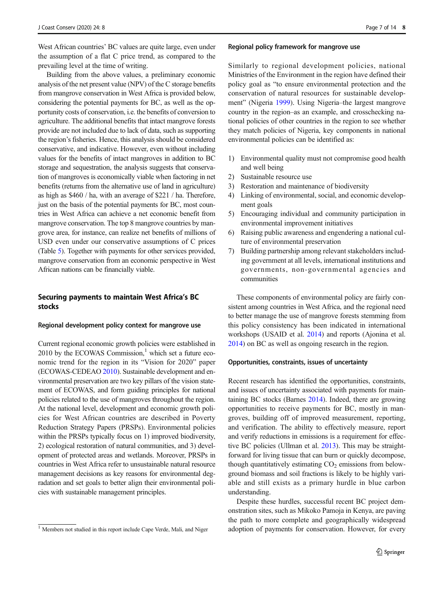West African countries' BC values are quite large, even under the assumption of a flat C price trend, as compared to the prevailing level at the time of writing.

Building from the above values, a preliminary economic analysis of the net present value (NPV) of the C storage benefits from mangrove conservation in West Africa is provided below, considering the potential payments for BC, as well as the opportunity costs of conservation, i.e. the benefits of conversion to agriculture. The additional benefits that intact mangrove forests provide are not included due to lack of data, such as supporting the region's fisheries. Hence, this analysis should be considered conservative, and indicative. However, even without including values for the benefits of intact mangroves in addition to BC storage and sequestration, the analysis suggests that conservation of mangroves is economically viable when factoring in net benefits (returns from the alternative use of land in agriculture) as high as \$460 / ha, with an average of \$221 / ha. Therefore, just on the basis of the potential payments for BC, most countries in West Africa can achieve a net economic benefit from mangrove conservation. The top 8 mangrove countries by mangrove area, for instance, can realize net benefits of millions of USD even under our conservative assumptions of C prices (Table [5](#page-10-0)). Together with payments for other services provided, mangrove conservation from an economic perspective in West African nations can be financially viable.

# Securing payments to maintain West Africa's BC stocks

#### Regional development policy context for mangrove use

Current regional economic growth policies were established in 2010 by the ECOWAS Commission, $<sup>1</sup>$  which set a future eco-</sup> nomic trend for the region in its "Vision for 2020" paper (ECOWAS-CEDEAO [2010](#page-12-0)). Sustainable development and environmental preservation are two key pillars of the vision statement of ECOWAS, and form guiding principles for national policies related to the use of mangroves throughout the region. At the national level, development and economic growth policies for West African countries are described in Poverty Reduction Strategy Papers (PRSPs). Environmental policies within the PRSPs typically focus on 1) improved biodiversity, 2) ecological restoration of natural communities, and 3) development of protected areas and wetlands. Moreover, PRSPs in countries in West Africa refer to unsustainable natural resource management decisions as key reasons for environmental degradation and set goals to better align their environmental policies with sustainable management principles.

#### Regional policy framework for mangrove use

Similarly to regional development policies, national Ministries of the Environment in the region have defined their policy goal as "to ensure environmental protection and the conservation of natural resources for sustainable development" (Nigeria [1999](#page-13-0)). Using Nigeria–the largest mangrove country in the region–as an example, and crosschecking national policies of other countries in the region to see whether they match policies of Nigeria, key components in national environmental policies can be identified as:

- 1) Environmental quality must not compromise good health and well being
- 2) Sustainable resource use
- 3) Restoration and maintenance of biodiversity
- 4) Linking of environmental, social, and economic development goals
- 5) Encouraging individual and community participation in environmental improvement initiatives
- 6) Raising public awareness and engendering a national culture of environmental preservation
- 7) Building partnership among relevant stakeholders including government at all levels, international institutions and governments, non-governmental agencies and communities

These components of environmental policy are fairly consistent among countries in West Africa, and the regional need to better manage the use of mangrove forests stemming from this policy consistency has been indicated in international workshops (USAID et al. [2014\)](#page-13-0) and reports (Ajonina et al. [2014\)](#page-11-0) on BC as well as ongoing research in the region.

#### Opportunities, constraints, issues of uncertainty

Recent research has identified the opportunities, constraints, and issues of uncertainty associated with payments for maintaining BC stocks (Barnes [2014](#page-12-0)). Indeed, there are growing opportunities to receive payments for BC, mostly in mangroves, building off of improved measurement, reporting, and verification. The ability to effectively measure, report and verify reductions in emissions is a requirement for effective BC policies (Ullman et al. [2013\)](#page-13-0). This may be straightforward for living tissue that can burn or quickly decompose, though quantitatively estimating  $CO<sub>2</sub>$  emissions from belowground biomass and soil fractions is likely to be highly variable and still exists as a primary hurdle in blue carbon understanding.

Despite these hurdles, successful recent BC project demonstration sites, such as Mikoko Pamoja in Kenya, are paving the path to more complete and geographically widespread <sup>1</sup> Members not studied in this report include Cape Verde, Mali, and Niger adoption of payments for conservation. However, for every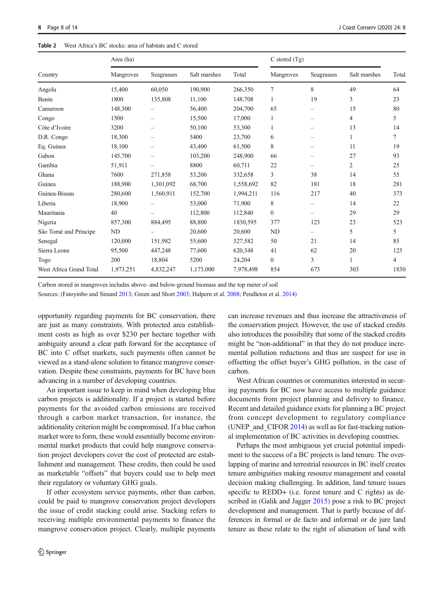#### <span id="page-7-0"></span>Table 2 West Africa's BC stocks: area of habitats and C stored

|                         | Area (ha) |                          |              |           | $C$ stored $(Tg)$ |                          |              |       |
|-------------------------|-----------|--------------------------|--------------|-----------|-------------------|--------------------------|--------------|-------|
| Country                 | Mangroves | Seagrasses               | Salt marshes | Total     | Mangroves         | Seagrasses               | Salt marshes | Total |
| Angola                  | 15,400    | 60.050                   | 190,900      | 266,350   | 7                 | 8                        | 49           | 64    |
| Benin                   | 1800      | 135,808                  | 11,100       | 148,708   | 1                 | 19                       | 3            | 23    |
| Cameroon                | 148,300   | $\overline{\phantom{0}}$ | 56,400       | 204,700   | 65                | $\overline{\phantom{0}}$ | 15           | 80    |
| Congo                   | 1500      | $\overline{\phantom{0}}$ | 15,500       | 17,000    | 1                 | -                        | 4            | 5     |
| Côte d'Ivoire           | 3200      | -                        | 50,100       | 53,300    | 1                 | $\qquad \qquad -$        | 13           | 14    |
| D.R. Congo              | 18,300    | $\overline{\phantom{0}}$ | 5400         | 23,700    | 6                 |                          | 1            | 7     |
| Eq. Guinea              | 18,100    | $\overline{\phantom{0}}$ | 43,400       | 61,500    | 8                 | $\overline{\phantom{0}}$ | 11           | 19    |
| Gabon                   | 145,700   | $\overline{\phantom{0}}$ | 103,200      | 248,900   | 66                |                          | 27           | 93    |
| Gambia                  | 51,911    |                          | 8800         | 60,711    | 22                |                          | 2            | 25    |
| Ghana                   | 7600      | 271,858                  | 53,200       | 332,658   | 3                 | 38                       | 14           | 55    |
| Guinea                  | 188,900   | 1,301,092                | 68,700       | 1,558,692 | 82                | 181                      | 18           | 281   |
| Guinea-Bissau           | 280,600   | 1,560,911                | 152,700      | 1,994,211 | 116               | 217                      | 40           | 373   |
| Liberia                 | 18,900    |                          | 53,000       | 71,900    | 8                 |                          | 14           | 22    |
| Mauritania              | 40        |                          | 112,800      | 112,840   | $\mathbf{0}$      |                          | 29           | 29    |
| Nigeria                 | 857,300   | 884,495                  | 88,800       | 1830,595  | 377               | 123                      | 23           | 523   |
| São Tomé and Príncipe   | <b>ND</b> |                          | 20,600       | 20,600    | $\rm ND$          | $\qquad \qquad -$        | 5            | 5     |
| Senegal                 | 120,000   | 151,982                  | 55,600       | 327,582   | 50                | 21                       | 14           | 85    |
| Sierra Leone            | 95,500    | 447,248                  | 77,600       | 620,348   | 41                | 62                       | 20           | 123   |
| Togo                    | 200       | 18,804                   | 5200         | 24,204    | $\overline{0}$    | 3                        | 1            | 4     |
| West Africa Grand Total | 1,973,251 | 4,832,247                | 1,173,000    | 7,978,498 | 854               | 673                      | 303          | 1830  |

Carbon stored in mangroves includes above- and below-ground biomass and the top meter of soil

Sources: (Fatoyinbo and Simard [2013](#page-12-0); Green and Short [2003;](#page-12-0) Halpern et al. [2008](#page-12-0); Pendleton et al. [2014\)](#page-13-0)

opportunity regarding payments for BC conservation, there are just as many constraints. With protected area establishment costs as high as over \$230 per hectare together with ambiguity around a clear path forward for the acceptance of BC into C offset markets, such payments often cannot be viewed as a stand-alone solution to finance mangrove conservation. Despite these constraints, payments for BC have been advancing in a number of developing countries.

An important issue to keep in mind when developing blue carbon projects is additionality. If a project is started before payments for the avoided carbon emissions are received through a carbon market transaction, for instance, the additionality criterion might be compromised. If a blue carbon market were to form, these would essentially become environmental market products that could help mangrove conservation project developers cover the cost of protected are establishment and management. These credits, then could be used as marketable "offsets" that buyers could use to help meet their regulatory or voluntary GHG goals.

If other ecosystem service payments, other than carbon, could be paid to mangrove conservation project developers the issue of credit stacking could arise. Stacking refers to receiving multiple environmental payments to finance the mangrove conservation project. Clearly, multiple payments can increase revenues and thus increase the attractiveness of the conservation project. However, the use of stacked credits also introduces the possibility that some of the stacked credits might be "non-additional" in that they do not produce incremental pollution reductions and thus are suspect for use in offsetting the offset buyer's GHG pollution, in the case of carbon.

West African countries or communities interested in securing payments for BC now have access to multiple guidance documents from project planning and delivery to finance. Recent and detailed guidance exists for planning a BC project from concept development to regulatory compliance (UNEP and CIFOR  $2014$ ) as well as for fast-tracking national implementation of BC activities in developing countries.

Perhaps the most ambiguous yet crucial potential impediment to the success of a BC projects is land tenure. The overlapping of marine and terrestrial resources in BC itself creates tenure ambiguities making resource management and coastal decision making challenging. In addition, land tenure issues specific to REDD+ (i.e. forest tenure and C rights) as described in (Galik and Jagger [2015\)](#page-12-0) pose a risk to BC project development and management. That is partly because of differences in formal or de facto and informal or de jure land tenure as these relate to the right of alienation of land with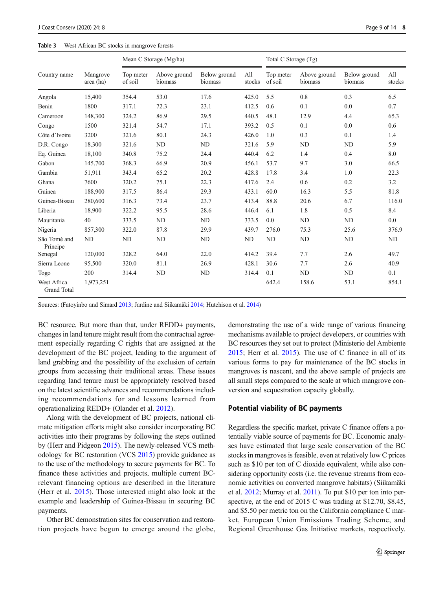# <span id="page-8-0"></span>Table 3 West African BC stocks in mangrove forests

|                                   |                       | Mean C Storage (Mg/ha) |                         |                         |               | Total C Storage (Tg) |                         |                         |               |
|-----------------------------------|-----------------------|------------------------|-------------------------|-------------------------|---------------|----------------------|-------------------------|-------------------------|---------------|
| Country name                      | Mangrove<br>area (ha) | Top meter<br>of soil   | Above ground<br>biomass | Below ground<br>biomass | All<br>stocks | Top meter<br>of soil | Above ground<br>biomass | Below ground<br>biomass | All<br>stocks |
| Angola                            | 15,400                | 354.4                  | 53.0                    | 17.6                    | 425.0         | 5.5                  | 0.8                     | 0.3                     | 6.5           |
| Benin                             | 1800                  | 317.1                  | 72.3                    | 23.1                    | 412.5         | 0.6                  | 0.1                     | 0.0                     | 0.7           |
| Cameroon                          | 148,300               | 324.2                  | 86.9                    | 29.5                    | 440.5         | 48.1                 | 12.9                    | 4.4                     | 65.3          |
| Congo                             | 1500                  | 321.4                  | 54.7                    | 17.1                    | 393.2         | 0.5                  | 0.1                     | 0.0                     | 0.6           |
| Côte d'Ivoire                     | 3200                  | 321.6                  | 80.1                    | 24.3                    | 426.0         | 1.0                  | 0.3                     | 0.1                     | 1.4           |
| D.R. Congo                        | 18,300                | 321.6                  | <b>ND</b>               | <b>ND</b>               | 321.6         | 5.9                  | ND                      | ND                      | 5.9           |
| Eq. Guinea                        | 18,100                | 340.8                  | 75.2                    | 24.4                    | 440.4         | 6.2                  | 1.4                     | 0.4                     | 8.0           |
| Gabon                             | 145,700               | 368.3                  | 66.9                    | 20.9                    | 456.1         | 53.7                 | 9.7                     | 3.0                     | 66.5          |
| Gambia                            | 51,911                | 343.4                  | 65.2                    | 20.2                    | 428.8         | 17.8                 | 3.4                     | 1.0                     | 22.3          |
| Ghana                             | 7600                  | 320.2                  | 75.1                    | 22.3                    | 417.6         | 2.4                  | 0.6                     | 0.2                     | 3.2           |
| Guinea                            | 188,900               | 317.5                  | 86.4                    | 29.3                    | 433.1         | 60.0                 | 16.3                    | 5.5                     | 81.8          |
| Guinea-Bissau                     | 280,600               | 316.3                  | 73.4                    | 23.7                    | 413.4         | 88.8                 | 20.6                    | 6.7                     | 116.0         |
| Liberia                           | 18,900                | 322.2                  | 95.5                    | 28.6                    | 446.4         | 6.1                  | 1.8                     | 0.5                     | 8.4           |
| Mauritania                        | 40                    | 333.5                  | ND                      | ND                      | 333.5         | 0.0                  | ND                      | ND                      | 0.0           |
| Nigeria                           | 857,300               | 322.0                  | 87.8                    | 29.9                    | 439.7         | 276.0                | 75.3                    | 25.6                    | 376.9         |
| São Tomé and<br>Príncipe          | ND                    | ND                     | <b>ND</b>               | <b>ND</b>               | ND            | ND                   | ND                      | ND                      | ND            |
| Senegal                           | 120,000               | 328.2                  | 64.0                    | 22.0                    | 414.2         | 39.4                 | 7.7                     | 2.6                     | 49.7          |
| Sierra Leone                      | 95,500                | 320.0                  | 81.1                    | 26.9                    | 428.1         | 30.6                 | 7.7                     | 2.6                     | 40.9          |
| Togo                              | 200                   | 314.4                  | ND                      | <b>ND</b>               | 314.4         | 0.1                  | ND                      | ND                      | 0.1           |
| West Africa<br><b>Grand Total</b> | 1,973,251             |                        |                         |                         |               | 642.4                | 158.6                   | 53.1                    | 854.1         |

Sources: (Fatoyinbo and Simard [2013](#page-12-0); Jardine and Siikamäki [2014](#page-12-0); Hutchison et al. [2014\)](#page-12-0)

BC resource. But more than that, under REDD+ payments, changes in land tenure might result from the contractual agreement especially regarding C rights that are assigned at the development of the BC project, leading to the argument of land grabbing and the possibility of the exclusion of certain groups from accessing their traditional areas. These issues regarding land tenure must be appropriately resolved based on the latest scientific advances and recommendations including recommendations for and lessons learned from operationalizing REDD+ (Olander et al. [2012](#page-13-0)).

Along with the development of BC projects, national climate mitigation efforts might also consider incorporating BC activities into their programs by following the steps outlined by (Herr and Pidgeon [2015\)](#page-12-0). The newly-released VCS methodology for BC restoration (VCS [2015\)](#page-13-0) provide guidance as to the use of the methodology to secure payments for BC. To finance these activities and projects, multiple current BCrelevant financing options are described in the literature (Herr et al. [2015\)](#page-12-0). Those interested might also look at the example and leadership of Guinea-Bissau in securing BC payments.

Other BC demonstration sites for conservation and restoration projects have begun to emerge around the globe, demonstrating the use of a wide range of various financing mechanisms available to project developers, or countries with BC resources they set out to protect (Ministerio del Ambiente [2015;](#page-12-0) Herr et al. [2015\)](#page-12-0). The use of C finance in all of its various forms to pay for maintenance of the BC stocks in mangroves is nascent, and the above sample of projects are all small steps compared to the scale at which mangrove conversion and sequestration capacity globally.

#### Potential viability of BC payments

Regardless the specific market, private C finance offers a potentially viable source of payments for BC. Economic analyses have estimated that large scale conservation of the BC stocks in mangroves is feasible, even at relatively low C prices such as \$10 per ton of C dioxide equivalent, while also considering opportunity costs (i.e. the revenue streams from economic activities on converted mangrove habitats) (Siikamäki et al. [2012;](#page-13-0) Murray et al. [2011](#page-12-0)). To put \$10 per ton into perspective, at the end of 2015 C was trading at \$12.70, \$8.45, and \$5.50 per metric ton on the California compliance C market, European Union Emissions Trading Scheme, and Regional Greenhouse Gas Initiative markets, respectively.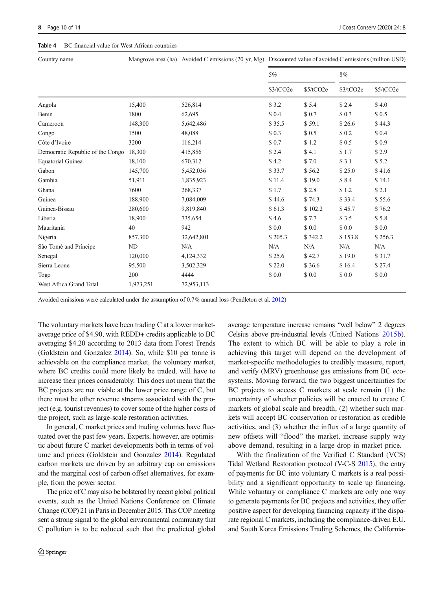#### <span id="page-9-0"></span>Table 4 BC financial value for West African countries

Country name Mangrove area (ha) Avoided C emissions (20 yr, Mg) Discounted value of avoided C emissions (million USD)

|                                  |           |            | 5%        |           |           | $8\%$     |  |
|----------------------------------|-----------|------------|-----------|-----------|-----------|-----------|--|
|                                  |           |            | \$3/tCO2e | \$5/tCO2e | \$3/tCO2e | \$5/tCO2e |  |
| Angola                           | 15,400    | 526,814    | \$3.2     | \$5.4     | \$2.4     | \$4.0     |  |
| Benin                            | 1800      | 62,695     | \$0.4     | \$ 0.7    | \$0.3     | \$0.5     |  |
| Cameroon                         | 148,300   | 5,642,486  | \$35.5    | \$59.1    | \$26.6    | \$44.3    |  |
| Congo                            | 1500      | 48,088     | \$0.3     | \$0.5     | \$0.2     | \$0.4     |  |
| Côte d'Ivoire                    | 3200      | 116,214    | \$0.7     | \$1.2     | \$0.5     | \$ 0.9    |  |
| Democratic Republic of the Congo | 18,300    | 415,856    | \$2.4     | \$4.1     | \$1.7     | \$2.9     |  |
| <b>Equatorial Guinea</b>         | 18,100    | 670,312    | \$4.2     | \$7.0     | \$3.1     | \$5.2     |  |
| Gabon                            | 145,700   | 5,452,036  | \$33.7    | \$56.2    | \$25.0    | \$41.6    |  |
| Gambia                           | 51,911    | 1,835,923  | \$11.4    | \$19.0    | \$8.4     | \$14.1    |  |
| Ghana                            | 7600      | 268,337    | \$1.7     | \$2.8     | \$1.2     | \$2.1     |  |
| Guinea                           | 188,900   | 7,084,009  | \$44.6    | \$74.3    | \$33.4    | \$55.6    |  |
| Guinea-Bissau                    | 280,600   | 9,819,840  | \$61.3    | \$102.2   | \$45.7    | \$76.2    |  |
| Liberia                          | 18,900    | 735,654    | \$4.6     | \$7.7     | \$3.5     | \$5.8     |  |
| Mauritania                       | 40        | 942        | \$0.0     | \$0.0     | \$ 0.0    | \$0.0     |  |
| Nigeria                          | 857,300   | 32,642,801 | \$205.3   | \$342.2   | \$153.8   | \$256.3   |  |
| São Tomé and Príncipe            | ND        | N/A        | N/A       | N/A       | N/A       | N/A       |  |
| Senegal                          | 120,000   | 4,124,332  | \$25.6    | \$42.7    | \$19.0    | \$31.7    |  |
| Sierra Leone                     | 95,500    | 3,502,329  | \$22.0    | \$36.6    | \$16.4    | \$27.4    |  |
| Togo                             | 200       | 4444       | \$0.0     | \$0.0     | \$ 0.0    | \$0.0     |  |
| West Africa Grand Total          | 1,973,251 | 72,953,113 |           |           |           |           |  |

Avoided emissions were calculated under the assumption of 0.7% annual loss (Pendleton et al. [2012](#page-13-0))

The voluntary markets have been trading C at a lower marketaverage price of \$4.90, with REDD+ credits applicable to BC averaging \$4.20 according to 2013 data from Forest Trends (Goldstein and Gonzalez [2014\)](#page-12-0). So, while \$10 per tonne is achievable on the compliance market, the voluntary market, where BC credits could more likely be traded, will have to increase their prices considerably. This does not mean that the BC projects are not viable at the lower price range of C, but there must be other revenue streams associated with the project (e.g. tourist revenues) to cover some of the higher costs of the project, such as large-scale restoration activities.

In general, C market prices and trading volumes have fluctuated over the past few years. Experts, however, are optimistic about future C market developments both in terms of volume and prices (Goldstein and Gonzalez [2014\)](#page-12-0). Regulated carbon markets are driven by an arbitrary cap on emissions and the marginal cost of carbon offset alternatives, for example, from the power sector.

The price of C may also be bolstered by recent global political events, such as the United Nations Conference on Climate Change (COP) 21 in Paris in December 2015. This COP meeting sent a strong signal to the global environmental community that C pollution is to be reduced such that the predicted global average temperature increase remains "well below" 2 degrees Celsius above pre-industrial levels (United Nations [2015b](#page-13-0)). The extent to which BC will be able to play a role in achieving this target will depend on the development of market-specific methodologies to credibly measure, report, and verify (MRV) greenhouse gas emissions from BC ecosystems. Moving forward, the two biggest uncertainties for BC projects to access C markets at scale remain (1) the uncertainty of whether policies will be enacted to create C markets of global scale and breadth, (2) whether such markets will accept BC conservation or restoration as credible activities, and (3) whether the influx of a large quantity of new offsets will "flood" the market, increase supply way above demand, resulting in a large drop in market price.

With the finalization of the Verified C Standard (VCS) Tidal Wetland Restoration protocol (V-C-S [2015\)](#page-13-0), the entry of payments for BC into voluntary C markets is a real possibility and a significant opportunity to scale up financing. While voluntary or compliance C markets are only one way to generate payments for BC projects and activities, they offer positive aspect for developing financing capacity if the disparate regional C markets, including the compliance-driven E.U. and South Korea Emissions Trading Schemes, the California-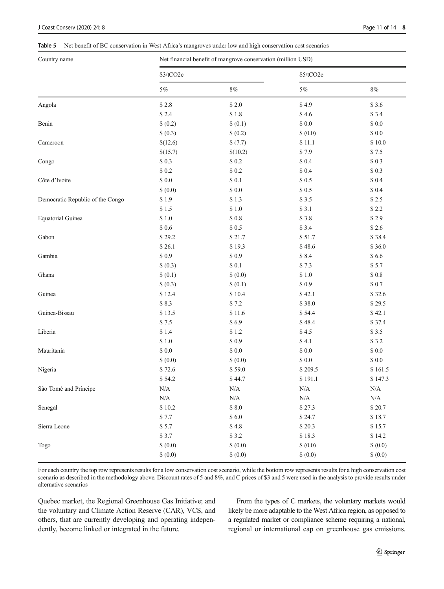#### <span id="page-10-0"></span>Table 5 Net benefit of BC conservation in West Africa's mangroves under low and high conservation cost scenarios

| Country name                     | Net financial benefit of mangrove conservation (million USD) |               |               |                |  |  |  |
|----------------------------------|--------------------------------------------------------------|---------------|---------------|----------------|--|--|--|
|                                  | \$3/tCO2e                                                    |               | \$5/tCO2e     |                |  |  |  |
|                                  | $5\%$                                                        | $8\%$         | $5\%$         | $8\%$          |  |  |  |
| Angola                           | \$2.8                                                        | \$2.0         | \$4.9         | \$3.6          |  |  |  |
|                                  | \$2.4                                                        | \$1.8         | \$4.6         | \$3.4          |  |  |  |
| Benin                            | \$ (0.2)                                                     | \$ (0.1)      | $\$$ $0.0$    | $\$$ $0.0$     |  |  |  |
|                                  | \$ (0.3)                                                     | \$ (0.2)      | \$ (0.0)      | $\$$ $0.0$     |  |  |  |
| Cameroon                         | \$(12.6)                                                     | \$(7.7)       | \$11.1        | $\$$ 10.0 $\,$ |  |  |  |
|                                  | \$(15.7)                                                     | \$(10.2)      | \$7.9         | \$7.5          |  |  |  |
| Congo                            | \$0.3                                                        | $\$$ 0.2 $\,$ | $$0.4$        | $\$$ 0.3 $\,$  |  |  |  |
|                                  | \$0.2                                                        | $\$$ 0.2      | \$ 0.4        | $\$$ 0.3 $\,$  |  |  |  |
| Côte d'Ivoire                    | $\$$ 0.0                                                     | $$0.1$        | \$0.5         | $\$$ 0.4 $\,$  |  |  |  |
|                                  | \$ (0.0)                                                     | \$0.0         | $\$$ 0.5      | $\$$ 0.4 $\,$  |  |  |  |
| Democratic Republic of the Congo | \$1.9                                                        | \$1.3         | \$3.5         | $\$2.5$        |  |  |  |
|                                  | \$1.5                                                        | $\$$ 1.0 $\,$ | \$3.1         | \$2.2          |  |  |  |
| <b>Equatorial Guinea</b>         | \$1.0                                                        | $\$$ 0.8      | \$3.8         | \$2.9          |  |  |  |
|                                  | $\$$ 0.6                                                     | \$0.5         | \$3.4         | \$2.6          |  |  |  |
| Gabon                            | \$29.2                                                       | \$21.7        | \$51.7        | \$38.4         |  |  |  |
|                                  | \$26.1                                                       | \$19.3        | \$48.6        | \$36.0         |  |  |  |
| Gambia                           | \$0.9                                                        | \$0.9         | \$8.4         | \$6.6          |  |  |  |
|                                  | \$ (0.3)                                                     | $\$$ 0.1      | \$7.3         | \$5.7          |  |  |  |
| Ghana                            | \$(0.1)                                                      | \$ (0.0)      | $\$$ 1.0 $\,$ | $\$$ 0.8 $\,$  |  |  |  |
|                                  | \$ (0.3)                                                     | \$ (0.1)      | \$0.9         | \$0.7          |  |  |  |
| Guinea                           | \$12.4                                                       | \$10.4        | \$42.1        | \$32.6         |  |  |  |
|                                  | \$8.3                                                        | \$7.2         | \$38.0        | \$29.5         |  |  |  |
| Guinea-Bissau                    | \$13.5                                                       | \$11.6        | \$54.4        | \$42.1         |  |  |  |
|                                  | \$7.5                                                        | \$6.9         | \$48.4        | \$37.4         |  |  |  |
| Liberia                          | \$1.4                                                        | \$1.2         | \$4.5         | \$3.5          |  |  |  |
|                                  | \$1.0                                                        | \$0.9         | \$4.1         | \$3.2          |  |  |  |
| Mauritania                       | \$0.0                                                        | $\$$ $0.0$    | $\$$ $0.0$    | $\$$ $0.0$     |  |  |  |
|                                  | \$ (0.0)                                                     | \$ (0.0)      | $\$$ $0.0$    | $\$$ $0.0$     |  |  |  |
| Nigeria                          | \$72.6                                                       | \$59.0        | \$209.5       | \$161.5        |  |  |  |
|                                  | \$54.2                                                       | \$44.7        | \$191.1       | \$147.3        |  |  |  |
| São Tomé and Príncipe            | N/A                                                          | N/A           | $\rm N/A$     | $\rm N/A$      |  |  |  |
|                                  | $\rm N/A$                                                    | $\rm N/A$     | $\rm N/A$     | $\rm N/A$      |  |  |  |
| Senegal                          | \$10.2                                                       | $\$ 8.0$      | \$27.3        | \$20.7         |  |  |  |
|                                  | \$7.7                                                        | \$6.0         | \$24.7        | \$18.7         |  |  |  |
| Sierra Leone                     | \$5.7                                                        | \$4.8         | \$20.3        | \$15.7         |  |  |  |
|                                  | \$3.7                                                        | \$3.2         | \$18.3        | \$14.2         |  |  |  |
| Togo                             | \$ (0.0)                                                     | \$ (0.0)      | \$ (0.0)      | \$ (0.0)       |  |  |  |
|                                  | \$ (0.0)                                                     | \$ (0.0)      | \$ (0.0)      | \$ (0.0)       |  |  |  |

For each country the top row represents results for a low conservation cost scenario, while the bottom row represents results for a high conservation cost scenario as described in the methodology above. Discount rates of 5 and 8%, and C prices of \$3 and 5 were used in the analysis to provide results under alternative scenarios

Quebec market, the Regional Greenhouse Gas Initiative; and the voluntary and Climate Action Reserve (CAR), VCS, and others, that are currently developing and operating independently, become linked or integrated in the future.

From the types of C markets, the voluntary markets would likely be more adaptable to the West Africa region, as opposed to a regulated market or compliance scheme requiring a national, regional or international cap on greenhouse gas emissions.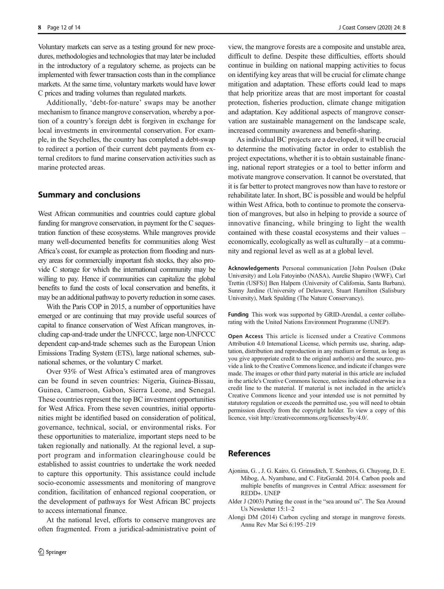<span id="page-11-0"></span>Voluntary markets can serve as a testing ground for new procedures, methodologies and technologies that may later be included in the introductory of a regulatory scheme, as projects can be implemented with fewer transaction costs than in the compliance markets. At the same time, voluntary markets would have lower C prices and trading volumes than regulated markets.

Additionally, 'debt-for-nature' swaps may be another mechanism to finance mangrove conservation, whereby a portion of a country's foreign debt is forgiven in exchange for local investments in environmental conservation. For example, in the Seychelles, the country has completed a debt-swap to redirect a portion of their current debt payments from external creditors to fund marine conservation activities such as marine protected areas.

# Summary and conclusions

West African communities and countries could capture global funding for mangrove conservation, in payment for the C sequestration function of these ecosystems. While mangroves provide many well-documented benefits for communities along West Africa's coast, for example as protection from flooding and nursery areas for commercially important fish stocks, they also provide C storage for which the international community may be willing to pay. Hence if communities can capitalize the global benefits to fund the costs of local conservation and benefits, it may be an additional pathway to poverty reduction in some cases.

With the Paris COP in 2015, a number of opportunities have emerged or are continuing that may provide useful sources of capital to finance conservation of West African mangroves, including cap-and-trade under the UNFCCC, large non-UNFCCC dependent cap-and-trade schemes such as the European Union Emissions Trading System (ETS), large national schemes, subnational schemes, or the voluntary C market.

Over 93% of West Africa's estimated area of mangroves can be found in seven countries: Nigeria, Guinea-Bissau, Guinea, Cameroon, Gabon, Sierra Leone, and Senegal. These countries represent the top BC investment opportunities for West Africa. From these seven countries, initial opportunities might be identified based on consideration of political, governance, technical, social, or environmental risks. For these opportunities to materialize, important steps need to be taken regionally and nationally. At the regional level, a support program and information clearinghouse could be established to assist countries to undertake the work needed to capture this opportunity. This assistance could include socio-economic assessments and monitoring of mangrove condition, facilitation of enhanced regional cooperation, or the development of pathways for West African BC projects to access international finance.

At the national level, efforts to conserve mangroves are often fragmented. From a juridical-administrative point of

view, the mangrove forests are a composite and unstable area, difficult to define. Despite these difficulties, efforts should continue in building on national mapping activities to focus on identifying key areas that will be crucial for climate change mitigation and adaptation. These efforts could lead to maps that help prioritize areas that are most important for coastal protection, fisheries production, climate change mitigation and adaptation. Key additional aspects of mangrove conservation are sustainable management on the landscape scale, increased community awareness and benefit-sharing.

As individual BC projects are a developed, it will be crucial to determine the motivating factor in order to establish the project expectations, whether it is to obtain sustainable financing, national report strategies or a tool to better inform and motivate mangrove conservation. It cannot be overstated, that it is far better to protect mangroves now than have to restore or rehabilitate later. In short, BC is possible and would be helpful within West Africa, both to continue to promote the conservation of mangroves, but also in helping to provide a source of innovative financing, while bringing to light the wealth contained with these coastal ecosystems and their values – economically, ecologically as well as culturally – at a community and regional level as well as at a global level.

Acknowledgements Personal communication [John Poulsen (Duke University) and Lola Fatoyinbo (NASA), Aurelie Shapiro (WWF), Carl Trettin (USFS)] Ben Halpern (University of California, Santa Barbara), Sunny Jardine (University of Delaware), Stuart Hamilton (Salisbury University), Mark Spalding (The Nature Conservancy).

Funding This work was supported by GRID-Arendal, a center collaborating with the United Nations Environment Programme (UNEP).

Open Access This article is licensed under a Creative Commons Attribution 4.0 International License, which permits use, sharing, adaptation, distribution and reproduction in any medium or format, as long as you give appropriate credit to the original author(s) and the source, provide a link to the Creative Commons licence, and indicate if changes were made. The images or other third party material in this article are included in the article's Creative Commons licence, unless indicated otherwise in a credit line to the material. If material is not included in the article's Creative Commons licence and your intended use is not permitted by statutory regulation or exceeds the permitted use, you will need to obtain permission directly from the copyright holder. To view a copy of this licence, visit http://creativecommons.org/licenses/by/4.0/.

# References

- Ajonina, G. , J. G. Kairo, G. Grimsditch, T. Sembres, G. Chuyong, D. E. Mibog, A. Nyambane, and C. FitzGerald. 2014. Carbon pools and multiple benefits of mangroves in Central Africa: assessment for REDD+. UNEP
- Alder J (2003) Putting the coast in the "sea around us". The Sea Around Us Newsletter 15:1–2
- Alongi DM (2014) Carbon cycling and storage in mangrove forests. Annu Rev Mar Sci 6:195–219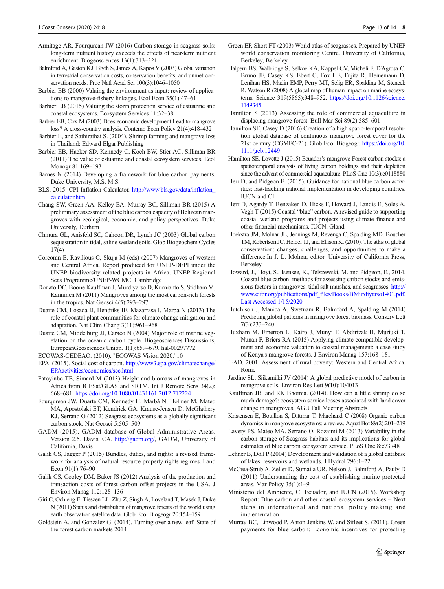- <span id="page-12-0"></span>Armitage AR, Fourqurean JW (2016) Carbon storage in seagrass soils: long-term nutrient history exceeds the effects of near-term nutrient enrichment. Biogeosciences 13(1):313–321
- Balmford A, Gaston KJ, Blyth S, James A, Kapos V (2003) Global variation in terrestrial conservation costs, conservation benefits, and unmet conservation needs. Proc Natl Acad Sci 100(3):1046–1050
- Barbier EB (2000) Valuing the environment as input: review of applications to mangrove-fishery linkages. Ecol Econ 35(1):47–61
- Barbier EB (2015) Valuing the storm protection service of estuarine and coastal ecosystems. Ecosystem Services 11:32–38
- Barbier EB, Cox M (2003) Does economic development Lead to mangrove loss? A cross-country analysis. Contemp Econ Policy 21(4):418–432
- Barbier E, and Sathirathai S. (2004). Shrimp farming and mangrove loss in Thailand: Edward Elgar Publishing
- Barbier EB, Hacker SD, Kennedy C, Koch EW, Stier AC, Silliman BR (2011) The value of estuarine and coastal ecosystem services. Ecol Monogr 81:169–193
- Barnes N (2014) Developing a framework for blue carbon payments. Duke University, M.S. M.S.
- BLS. 2015. CPI Inflation Calculator. [http://www.bls.gov/data/inflation\\_](http://www.bls.gov/data/inflation_calculator.htm) [calculator.htm](http://www.bls.gov/data/inflation_calculator.htm)
- Chang SW, Green AA, Kelley EA, Murray BC, Silliman BR (2015) A preliminary assessment of the blue carbon capacity of Belizean mangroves with ecological, economic, and policy perspectives. Duke University, Durham
- Chmura GL, Anisfeld SC, Cahoon DR, Lynch JC (2003) Global carbon sequestration in tidal, saline wetland soils. Glob Biogeochem Cycles 17(4)
- Corcoran E, Ravilious C, Skuja M (eds) (2007) Mangroves of western and Central Africa. Report produced for UNEP-DEPI under the UNEP biodiversity related projects in Africa. UNEP-Regional Seas Programme/UNEP-WCMC, Cambridge
- Donato DC, Boone Kauffman J, Murdiyarso D, Kurnianto S, Stidham M, Kanninen M (2011) Mangroves among the most carbon-rich forests in the tropics. Nat Geosci 4(5):293–297
- Duarte CM, Losada IJ, Hendriks IE, Mazarrasa I, Marbà N (2013) The role of coastal plant communities for climate change mitigation and adaptation. Nat Clim Chang 3(11):961–968
- Duarte CM, Middelburg JJ, Caraco N (2004) Major role of marine vegetation on the oceanic carbon cycle. Biogeosciences Discussions, EuropeanGeosciences Union. 1(1):659–679. hal-00297772
- ECOWAS-CEDEAO. (2010). "ECOWAS Vision 2020."10
- EPA. (2015). Social cost of carbon. [http://www3.epa.gov/climatechange/](http://www3.epa.gov/climatechange/EPAactivities/economics/scc.html) [EPAactivities/economics/scc.html](http://www3.epa.gov/climatechange/EPAactivities/economics/scc.html)
- Fatoyinbo TE, Simard M (2013) Height and biomass of mangroves in Africa from ICESat/GLAS and SRTM. Int J Remote Sens 34(2): 668–681. <https://doi.org/10.1080/01431161.2012.712224>
- Fourqurean JW, Duarte CM, Kennedy H, Marbà N, Holmer M, Mateo MA, Apostolaki ET, Kendrick GA, Krause-Jensen D, McGlathery KJ, Serrano O (2012) Seagrass ecosystems as a globally significant carbon stock. Nat Geosci 5:505–509
- GADM (2015). GADM database of Global Administrative Areas. Version 2.5. Davis, CA. http://gadm.org/, GADM, University of California, Davis
- Galik CS, Jagger P (2015) Bundles, duties, and rights: a revised framework for analysis of natural resource property rights regimes. Land Econ 91(1):76–90
- Galik CS, Cooley DM, Baker JS (2012) Analysis of the production and transaction costs of forest carbon offset projects in the USA. J Environ Manag 112:128–136
- Giri C, Ochieng E, Tieszen LL, Zhu Z, Singh A, Loveland T, Masek J, Duke N (2011) Status and distribution of mangrove forests of the world using earth observation satellite data. Glob Ecol Biogeogr 20:154–159
- Goldstein A, and Gonzalez G. (2014). Turning over a new leaf: State of the forest carbon markets 2014
- Green EP, Short FT (2003) World atlas of seagrasses. Prepared by UNEP world conservation monitoring Centre. University of California, Berkeley, Berkeley
- Halpern BS, Walbridge S, Selkoe KA, Kappel CV, Micheli F, D'Agrosa C, Bruno JF, Casey KS, Ebert C, Fox HE, Fujita R, Heinemann D, Lenihan HS, Madin EMP, Perry MT, Selig ER, Spalding M, Steneck R, Watson R (2008) A global map of human impact on marine ecosystems. Science 319(5865):948–952. [https://doi.org/10.1126/science.](https://doi.org/10.1126/science.1149345) [1149345](https://doi.org/10.1126/science.1149345)
- Hamilton S (2013) Assessing the role of commercial aquaculture in displacing mangrove forest. Bull Mar Sci 89(2):585–601
- Hamilton SE, Casey D (2016) Creation of a high spatio-temporal resolution global database of continuous mangrove forest cover for the 21st century (CGMFC-21). Glob Ecol Biogeogr. [https://doi.org/10.](https://doi.org/10.1111/geb.12449) [1111/geb.12449](https://doi.org/10.1111/geb.12449)
- Hamilton SE, Lovette J (2015) Ecuador's mangrove Forest carbon stocks: a spatiotemporal analysis of living carbon holdings and their depletion since the advent of commercial aquaculture. PLoS One 10(3):e0118880
- Herr D, and Pidgeon E. (2015). Guidance for national blue carbon activities: fast-tracking national implementation in developing countries. IUCN and CI
- Herr D, Agardy T, Benzaken D, Hicks F, Howard J, Landis E, Soles A, Vegh T (2015) Coastal "blue" carbon. A revised guide to supporting coastal wetland programs and projects using climate finance and other financial mechanisms. IUCN, Gland
- Hoekstra JM, Molnar JL, Jennings M, Revenga C, Spalding MD, Boucher TM, Robertson JC, Heibel TJ, and Ellison K. (2010). The atlas of global conservation: changes, challenges, and opportunities to make a difference.In J. L. Molnar, editor. University of California Press, Berkeley
- Howard, J., Hoyt, S., Isensee, K., Telszewski, M. and Pidgeon, E., 2014. Coastal blue carbon: methods for assessing carbon stocks and emissions factors in mangroves, tidal salt marshes, and seagrasses. http:// www.cifor.org/publications/pdf\_files/Books/BMurdiyarso1401.pdf. Last Accessed 1/15/2020
- Hutchison J, Manica A, Swetnam R, Balmford A, Spalding M (2014) Predicting global patterns in mangrove forest biomass. Conserv Lett 7(3):233–240
- Huxham M, Emerton L, Kairo J, Munyi F, Abdirizak H, Muriuki T, Nunan F, Briers RA (2015) Applying climate compatible development and economic valuation to coastal management: a case study of Kenya's mangrove forests. J Environ Manag 157:168–181
- IFAD. 2001. Assessment of rural poverty: Western and Central Africa. Rome
- Jardine SL, Siikamäki JV (2014) A global predictive model of carbon in mangrove soils. Environ Res Lett 9(10):104013
- Kauffman JB, and RK Bhomia. (2014). How can a little shrimp do so much damage?: ecosystem service losses associated with land cover change in mangroves. AGU Fall Meeting Abstracts
- Kristensen E, Bouillon S, Dittmar T, Marchand C (2008) Organic carbon dynamics in mangrove ecosystems: a review. Aquat Bot 89(2):201–219
- Lavery PS, Mateo MA, Serrano O, Rozaimi M (2013) Variability in the carbon storage of Seagrass habitats and its implications for global estimates of blue carbon ecosystem service. PLoS One 8:e73748
- Lehner B, Döll P (2004) Development and validation of a global database of lakes, reservoirs and wetlands. J Hydrol 296:1–22
- McCrea-Strub A, Zeller D, Sumaila UR, Nelson J, Balmford A, Pauly D (2011) Understanding the cost of establishing marine protected areas. Mar Policy 35(1):1–9
- Ministerio del Ambiente, CI Ecuador, and IUCN (2015). Workshop Report: Blue carbon and other coastal ecosystem services – Next steps in international and national policy making and implementation
- Murray BC, Linwood P, Aaron Jenkins W, and Sifleet S. (2011). Green payments for blue carbon: Economic incentives for protecting